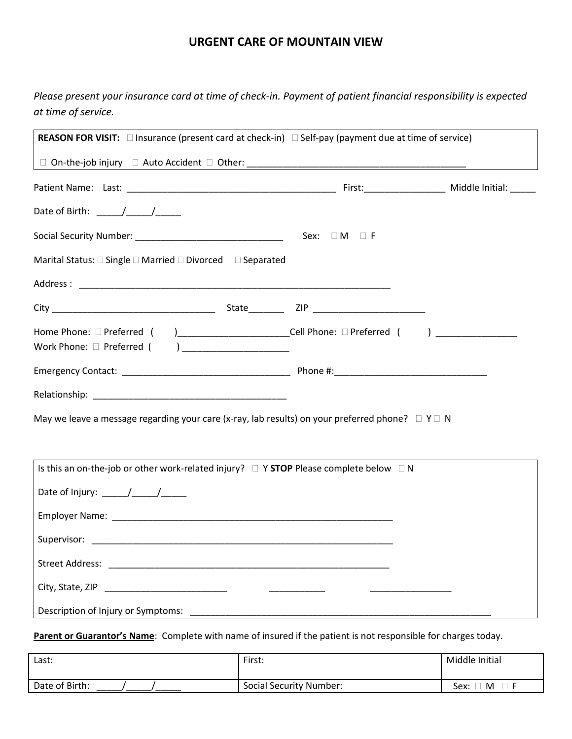## **URGENT CARE OF MOUNTAIN VIEW**

*Please present your insurance card at time of check-in. Payment of patient financial responsibility is expected at time of service.* 

| <b>REASON FOR VISIT:</b> $\Box$ Insurance (present card at check-in) $\Box$ Self-pay (payment due at time of service) |  |
|-----------------------------------------------------------------------------------------------------------------------|--|
|                                                                                                                       |  |
|                                                                                                                       |  |
| Date of Birth: $\frac{1}{\sqrt{1-\frac{1}{2}}}\frac{1}{\sqrt{1-\frac{1}{2}}}}$                                        |  |
|                                                                                                                       |  |
| Marital Status: □ Single □ Married □ Divorced □ Separated                                                             |  |
|                                                                                                                       |  |
|                                                                                                                       |  |
| Home Phone: □ Preferred ( )_______________________Cell Phone: □ Preferred ( )______________________                   |  |
|                                                                                                                       |  |
|                                                                                                                       |  |
| May we leave a message regarding your care (x-ray, lab results) on your preferred phone? $\square \ Y \square \ N$    |  |
| Is this an on-the-job or other work-related injury? $\square$ Y <b>STOP</b> Please complete below $\square$ N         |  |
| Date of Injury: $\frac{1}{\frac{1}{2}}$                                                                               |  |
|                                                                                                                       |  |
| Supervisor:                                                                                                           |  |
|                                                                                                                       |  |
|                                                                                                                       |  |
|                                                                                                                       |  |

**Parent or Guarantor's Name**: Complete with name of insured if the patient is not responsible for charges today.

| Last:          | First:                  | Middle Initial |
|----------------|-------------------------|----------------|
| Date of Birth: | Social Security Number: | Sex:<br>M      |